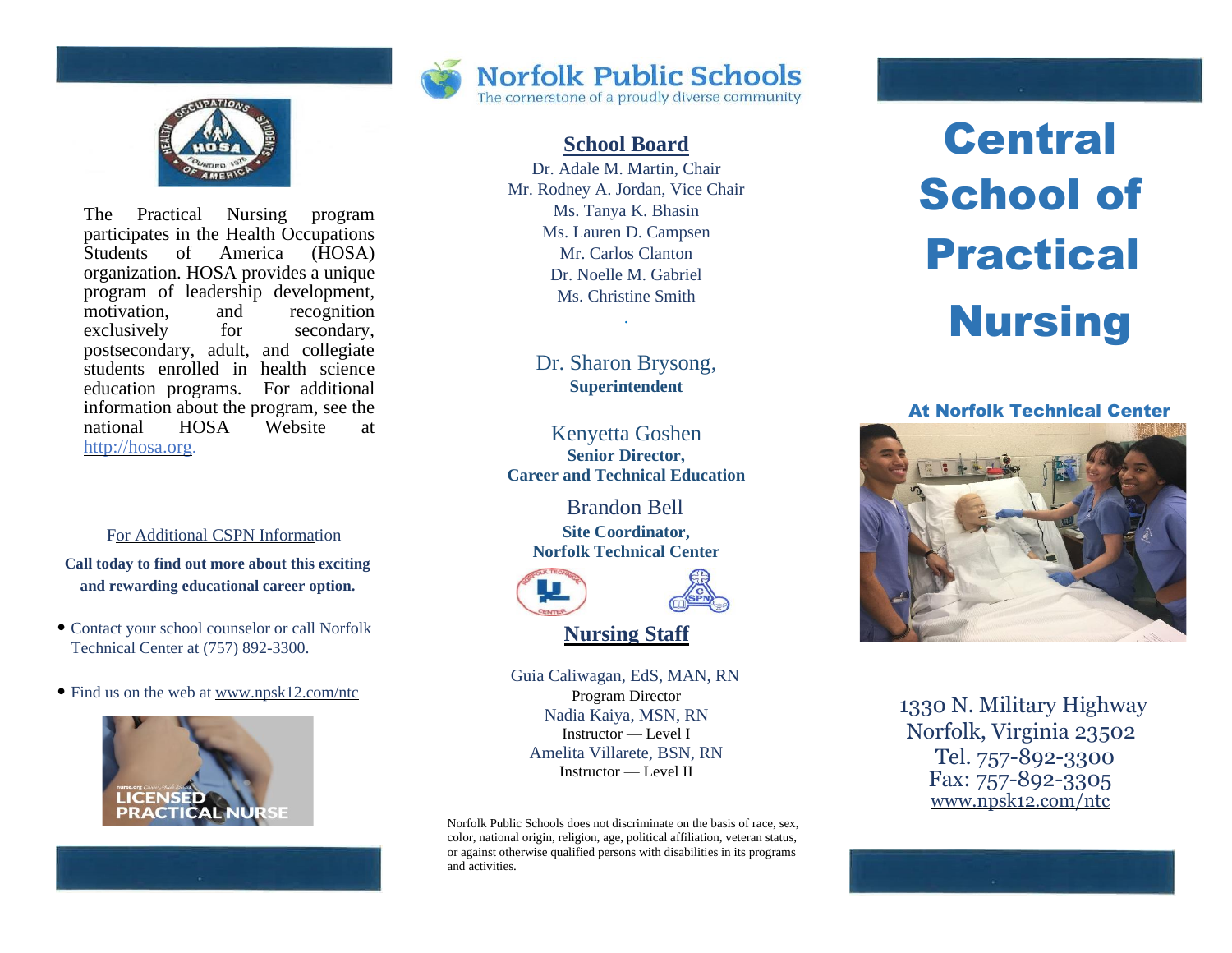

The Practical Nursing program participates in the Health Occupations Students of America (HOSA) organization. HOSA provides a unique program of leadership development, motivation, and recognition exclusively for secondary, postsecondary, adult, and collegiate students enrolled in health science education programs. For additional information about the program, see the national HOSA Website at http://hosa.org.

For Additional CSPN Information

**Call today to find out more about this exciting and rewarding educational career option.**

- Contact your school counselor or call Norfolk Technical Center at (757) 892-3300.
- Find us on the web at www.npsk12.com/ntc





# **School Board**

Dr. Adale M. Martin, Chair Mr. Rodney A. Jordan, Vice Chair Ms. Tanya K. Bhasin Ms. Lauren D. Campsen Mr. Carlos Clanton Dr. Noelle M. Gabriel Ms. Christine Smith

> Dr. Sharon Brysong, **Superintendent**

.

Kenyetta Goshen **Senior Director, Career and Technical Education**

> Brandon Bell **Site Coordinator, Norfolk Technical Center**





**Nursing Staff**

Guia Caliwagan, EdS, MAN, RN Program Director Nadia Kaiya, MSN, RN Instructor — Level I Amelita Villarete, BSN, RN Instructor — Level II

Norfolk Public Schools does not discriminate on the basis of race, sex, color, national origin, religion, age, political affiliation, veteran status, or against otherwise qualified persons with disabilities in its programs and activities.

# **Central** School of Practical **Nursing**

## At Norfolk Technical Center



1330 N. Military Highway Norfolk, Virginia 23502 Tel. 757-892-3300 Fax: 757-892-3305 www.npsk12.com/ntc